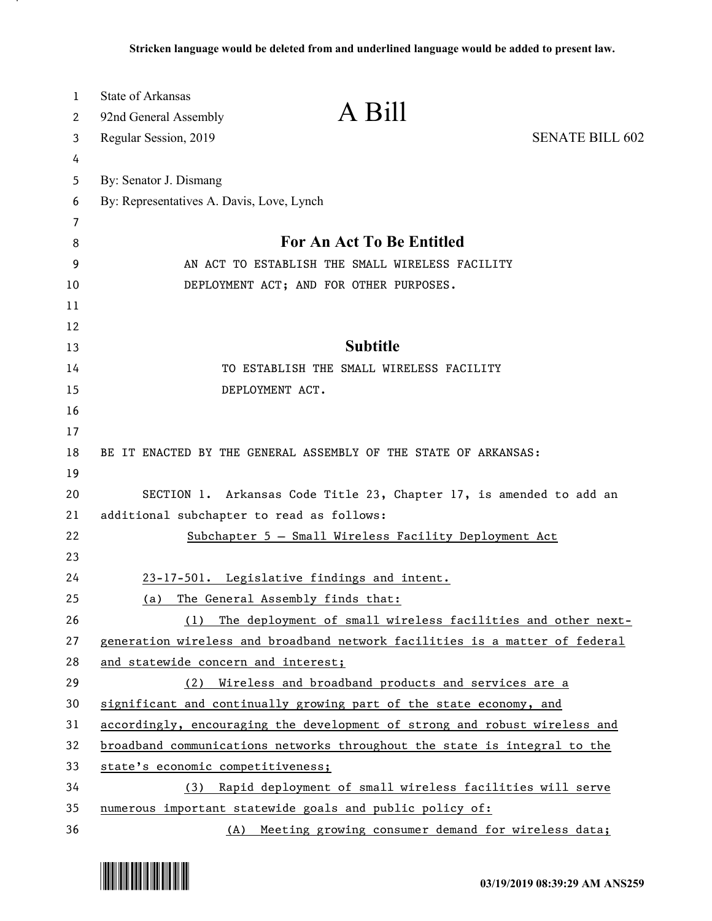| 1  | State of Arkansas                                                           |                                                              |                                                                 |
|----|-----------------------------------------------------------------------------|--------------------------------------------------------------|-----------------------------------------------------------------|
| 2  | 92nd General Assembly                                                       | A Bill                                                       |                                                                 |
| 3  | Regular Session, 2019                                                       |                                                              | <b>SENATE BILL 602</b>                                          |
| 4  |                                                                             |                                                              |                                                                 |
| 5  | By: Senator J. Dismang                                                      |                                                              |                                                                 |
| 6  | By: Representatives A. Davis, Love, Lynch                                   |                                                              |                                                                 |
| 7  |                                                                             |                                                              |                                                                 |
| 8  |                                                                             | For An Act To Be Entitled                                    |                                                                 |
| 9  |                                                                             | AN ACT TO ESTABLISH THE SMALL WIRELESS FACILITY              |                                                                 |
| 10 |                                                                             | DEPLOYMENT ACT; AND FOR OTHER PURPOSES.                      |                                                                 |
| 11 |                                                                             |                                                              |                                                                 |
| 12 |                                                                             |                                                              |                                                                 |
| 13 |                                                                             | <b>Subtitle</b>                                              |                                                                 |
| 14 |                                                                             | TO ESTABLISH THE SMALL WIRELESS FACILITY                     |                                                                 |
| 15 | DEPLOYMENT ACT.                                                             |                                                              |                                                                 |
| 16 |                                                                             |                                                              |                                                                 |
| 17 |                                                                             |                                                              |                                                                 |
| 18 | BE IT ENACTED BY THE GENERAL ASSEMBLY OF THE STATE OF ARKANSAS:             |                                                              |                                                                 |
| 19 |                                                                             |                                                              |                                                                 |
| 20 | SECTION 1. Arkansas Code Title 23, Chapter 17, is amended to add an         |                                                              |                                                                 |
| 21 | additional subchapter to read as follows:                                   |                                                              |                                                                 |
| 22 |                                                                             | Subchapter 5 - Small Wireless Facility Deployment Act        |                                                                 |
| 23 |                                                                             |                                                              |                                                                 |
| 24 | 23-17-501. Legislative findings and intent.                                 |                                                              |                                                                 |
| 25 | The General Assembly finds that:<br>(a)                                     |                                                              |                                                                 |
| 26 |                                                                             |                                                              | (1) The deployment of small wireless facilities and other next- |
| 27 | generation wireless and broadband network facilities is a matter of federal |                                                              |                                                                 |
| 28 | and statewide concern and interest;                                         |                                                              |                                                                 |
| 29 | (2)                                                                         | Wireless and broadband products and services are a           |                                                                 |
| 30 | significant and continually growing part of the state economy, and          |                                                              |                                                                 |
| 31 | accordingly, encouraging the development of strong and robust wireless and  |                                                              |                                                                 |
| 32 | broadband communications networks throughout the state is integral to the   |                                                              |                                                                 |
| 33 | state's economic competitiveness;                                           |                                                              |                                                                 |
| 34 |                                                                             | (3) Rapid deployment of small wireless facilities will serve |                                                                 |
| 35 | numerous important statewide goals and public policy of:                    |                                                              |                                                                 |
| 36 |                                                                             | (A) Meeting growing consumer demand for wireless data;       |                                                                 |

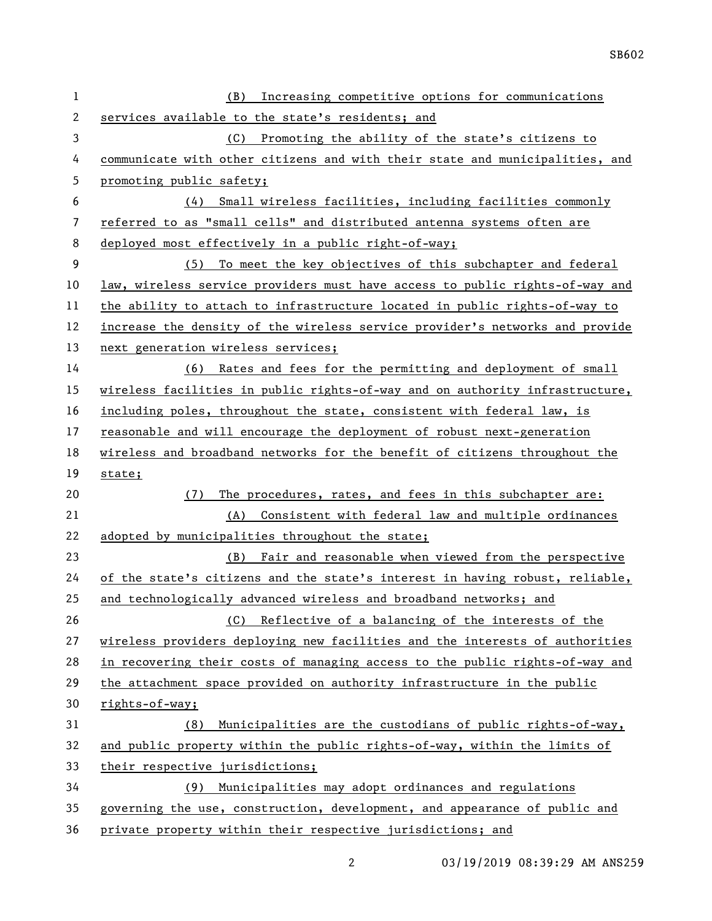| 1              | Increasing competitive options for communications<br>(B)                     |
|----------------|------------------------------------------------------------------------------|
| 2              | services available to the state's residents; and                             |
| 3              | (C) Promoting the ability of the state's citizens to                         |
| 4              | communicate with other citizens and with their state and municipalities, and |
| 5              | promoting public safety;                                                     |
| 6              | (4) Small wireless facilities, including facilities commonly                 |
| $\overline{7}$ | referred to as "small cells" and distributed antenna systems often are       |
| 8              | deployed most effectively in a public right-of-way;                          |
| 9              | (5) To meet the key objectives of this subchapter and federal                |
| 10             | law, wireless service providers must have access to public rights-of-way and |
| 11             | the ability to attach to infrastructure located in public rights-of-way to   |
| 12             | increase the density of the wireless service provider's networks and provide |
| 13             | next generation wireless services;                                           |
| 14             | (6) Rates and fees for the permitting and deployment of small                |
| 15             | wireless facilities in public rights-of-way and on authority infrastructure, |
| 16             | including poles, throughout the state, consistent with federal law, is       |
| 17             | reasonable and will encourage the deployment of robust next-generation       |
| 18             | wireless and broadband networks for the benefit of citizens throughout the   |
|                |                                                                              |
| 19             | state;                                                                       |
| 20             | The procedures, rates, and fees in this subchapter are:<br>(7)               |
| 21             | (A) Consistent with federal law and multiple ordinances                      |
| 22             | adopted by municipalities throughout the state;                              |
| 23             | (B) Fair and reasonable when viewed from the perspective                     |
| 24             | of the state's citizens and the state's interest in having robust, reliable, |
| 25             | and technologically advanced wireless and broadband networks; and            |
| 26             | Reflective of a balancing of the interests of the<br>(C)                     |
| 27             | wireless providers deploying new facilities and the interests of authorities |
| 28             | in recovering their costs of managing access to the public rights-of-way and |
| 29             | the attachment space provided on authority infrastructure in the public      |
| 30             | rights-of-way;                                                               |
| 31             | Municipalities are the custodians of public rights-of-way,<br>(8)            |
| 32             | and public property within the public rights-of-way, within the limits of    |
| 33             | their respective jurisdictions;                                              |
| 34             | (9) Municipalities may adopt ordinances and regulations                      |
| 35             | governing the use, construction, development, and appearance of public and   |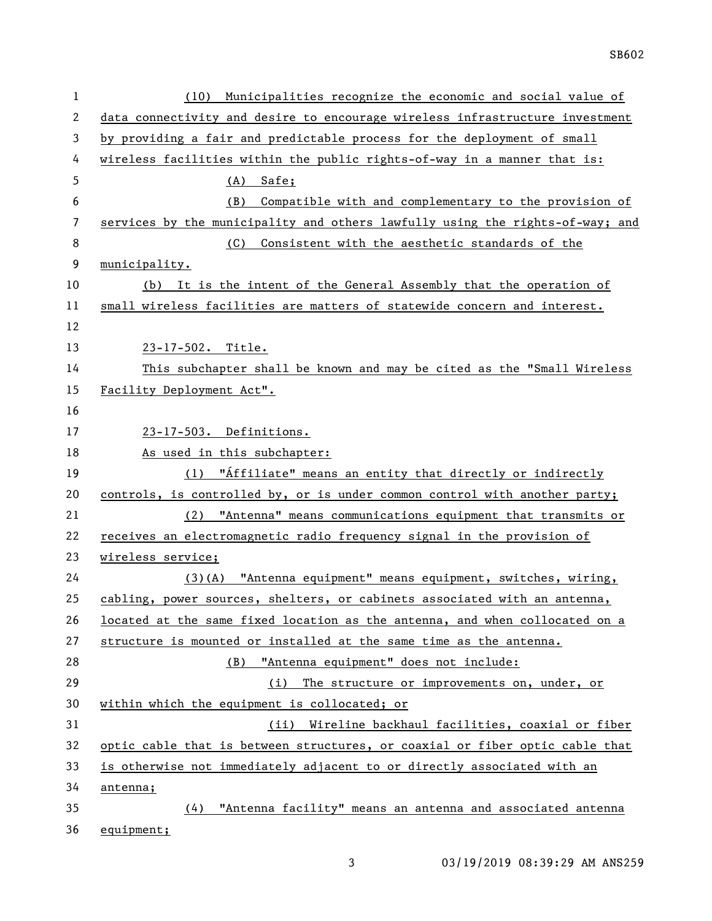| $\mathbf 1$    | Municipalities recognize the economic and social value of<br>(10)             |
|----------------|-------------------------------------------------------------------------------|
| $\overline{c}$ | data connectivity and desire to encourage wireless infrastructure investment  |
| 3              | by providing a fair and predictable process for the deployment of small       |
| 4              | wireless facilities within the public rights-of-way in a manner that is:      |
| 5              | $(A)$ Safe;                                                                   |
| 6              | Compatible with and complementary to the provision of<br>(B)                  |
| 7              | services by the municipality and others lawfully using the rights-of-way; and |
| 8              | Consistent with the aesthetic standards of the<br>(C)                         |
| 9              | municipality.                                                                 |
| 10             | (b) It is the intent of the General Assembly that the operation of            |
| 11             | small wireless facilities are matters of statewide concern and interest.      |
| 12             |                                                                               |
| 13             | 23-17-502. Title.                                                             |
| 14             | This subchapter shall be known and may be cited as the "Small Wireless        |
| 15             | Facility Deployment Act".                                                     |
| 16             |                                                                               |
| 17             | 23-17-503. Definitions.                                                       |
| 18             | As used in this subchapter:                                                   |
| 19             | (1) "Affiliate" means an entity that directly or indirectly                   |
| 20             | controls, is controlled by, or is under common control with another party;    |
| 21             | (2) "Antenna" means communications equipment that transmits or                |
| 22             | receives an electromagnetic radio frequency signal in the provision of        |
| 23             | wireless service;                                                             |
| 24             | (3)(A) "Antenna equipment" means equipment, switches, wiring,                 |
| 25             | cabling, power sources, shelters, or cabinets associated with an antenna,     |
| 26             | located at the same fixed location as the antenna, and when collocated on a   |
| 27             | structure is mounted or installed at the same time as the antenna.            |
| 28             | "Antenna equipment" does not include:<br>(B)                                  |
| 29             | The structure or improvements on, under, or<br>(i)                            |
| 30             | within which the equipment is collocated; or                                  |
| 31             | (ii) Wireline backhaul facilities, coaxial or fiber                           |
| 32             | optic cable that is between structures, or coaxial or fiber optic cable that  |
| 33             | is otherwise not immediately adjacent to or directly associated with an       |
| 34             | antenna;                                                                      |
| 35             | "Antenna facility" means an antenna and associated antenna<br>(4)             |
| 36             | equipment;                                                                    |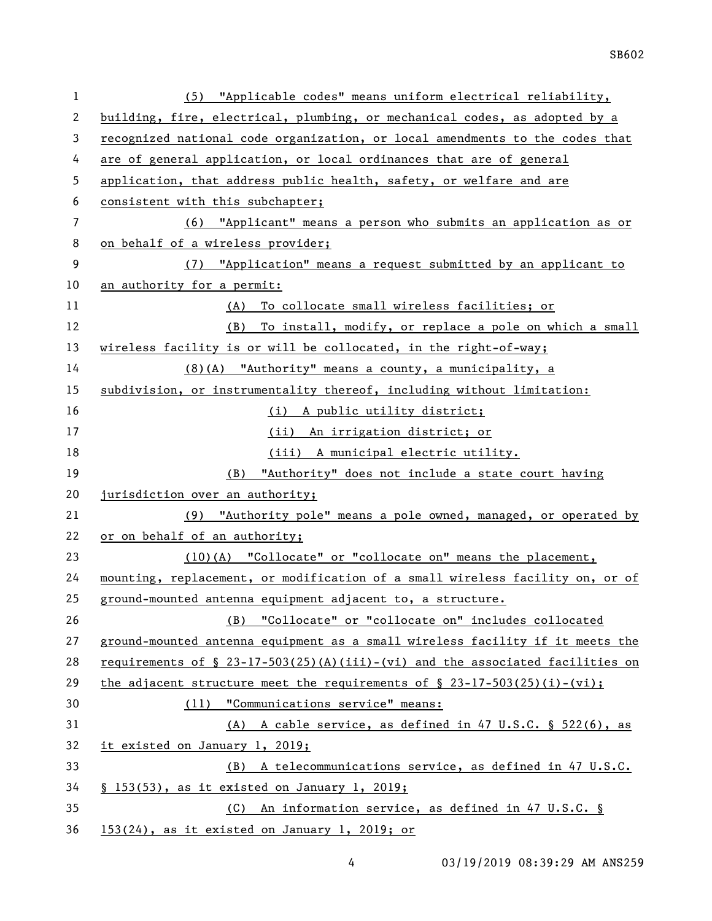| $\mathbf{1}$ | (5) "Applicable codes" means uniform electrical reliability,                                  |
|--------------|-----------------------------------------------------------------------------------------------|
| 2            | building, fire, electrical, plumbing, or mechanical codes, as adopted by a                    |
| 3            | recognized national code organization, or local amendments to the codes that                  |
| 4            | are of general application, or local ordinances that are of general                           |
| 5            | application, that address public health, safety, or welfare and are                           |
| 6            | consistent with this subchapter;                                                              |
| 7            | (6) "Applicant" means a person who submits an application as or                               |
| 8            | on behalf of a wireless provider;                                                             |
| 9            | (7) "Application" means a request submitted by an applicant to                                |
| 10           | an authority for a permit:                                                                    |
| 11           | (A) To collocate small wireless facilities; or                                                |
| 12           | To install, modify, or replace a pole on which a small<br>(B)                                 |
| 13           | wireless facility is or will be collocated, in the right-of-way;                              |
| 14           | (8)(A) "Authority" means a county, a municipality, a                                          |
| 15           | subdivision, or instrumentality thereof, including without limitation:                        |
| 16           | (i) A public utility district;                                                                |
| 17           | (ii) An irrigation district; or                                                               |
| 18           | (iii) A municipal electric utility.                                                           |
| 19           | (B) "Authority" does not include a state court having                                         |
| 20           | jurisdiction over an authority;                                                               |
| 21           | (9) "Authority pole" means a pole owned, managed, or operated by                              |
| 22           | or on behalf of an authority;                                                                 |
| 23           | $(10)(A)$ "Collocate" or "collocate on" means the placement,                                  |
| 24           | mounting, replacement, or modification of a small wireless facility on, or of                 |
| 25           | ground-mounted antenna equipment adjacent to, a structure.                                    |
| 26           | (B) "Collocate" or "collocate on" includes collocated                                         |
| 27           | ground-mounted antenna equipment as a small wireless facility if it meets the                 |
| 28           | requirements of $\S$ 23-17-503(25)(A)(iii)-(vi) and the associated facilities on              |
| 29           | <u>the adjacent structure meet the requirements of <math>\S</math> 23-17-503(25)(i)-(vi);</u> |
| 30           | (11) "Communications service" means:                                                          |
| 31           | (A) A cable service, as defined in 47 U.S.C. $\S$ 522(6), as                                  |
| 32           | it existed on January 1, 2019;                                                                |
| 33           | (B) A telecommunications service, as defined in 47 U.S.C.                                     |
| 34           | § 153(53), as it existed on January 1, 2019;                                                  |
|              |                                                                                               |
| 35           | An information service, as defined in 47 U.S.C. §<br>(C)                                      |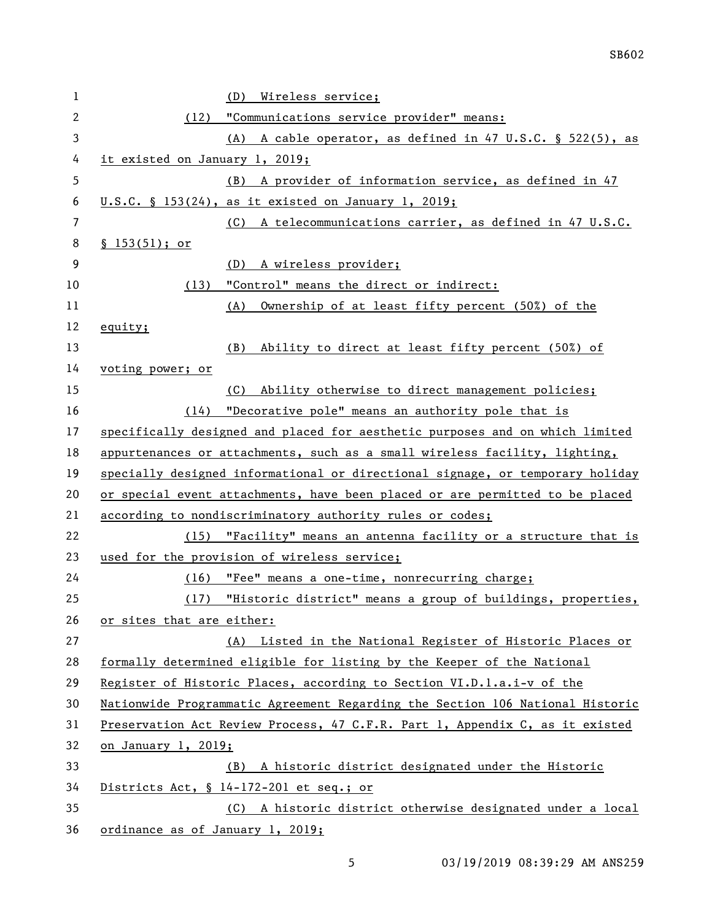| 1  | Wireless service;<br>(D)                                                      |
|----|-------------------------------------------------------------------------------|
| 2  | "Communications service provider" means:<br>(12)                              |
| 3  | (A) A cable operator, as defined in 47 U.S.C. § 522(5), as                    |
| 4  | it existed on January 1, 2019;                                                |
| 5  | (B) A provider of information service, as defined in 47                       |
| 6  | $U.S.C. \S 153(24)$ , as it existed on January 1, 2019;                       |
| 7  | A telecommunications carrier, as defined in 47 U.S.C.<br>(C)                  |
| 8  | \$153(51); or                                                                 |
| 9  | A wireless provider;<br>(D)                                                   |
| 10 | "Control" means the direct or indirect:<br>(13)                               |
| 11 | Ownership of at least fifty percent (50%) of the<br>(A)                       |
| 12 | equity;                                                                       |
| 13 | Ability to direct at least fifty percent (50%) of<br>(B)                      |
| 14 | voting power; or                                                              |
| 15 | Ability otherwise to direct management policies;<br>(C)                       |
| 16 | (14) "Decorative pole" means an authority pole that is                        |
| 17 | specifically designed and placed for aesthetic purposes and on which limited  |
| 18 | appurtenances or attachments, such as a small wireless facility, lighting,    |
| 19 | specially designed informational or directional signage, or temporary holiday |
| 20 | or special event attachments, have been placed or are permitted to be placed  |
| 21 | according to nondiscriminatory authority rules or codes;                      |
| 22 | (15) "Facility" means an antenna facility or a structure that is              |
| 23 | used for the provision of wireless service;                                   |
| 24 | "Fee" means a one-time, nonrecurring charge;<br>(16)                          |
| 25 | (17) "Historic district" means a group of buildings, properties,              |
| 26 | or sites that are either:                                                     |
| 27 | (A) Listed in the National Register of Historic Places or                     |
| 28 | formally determined eligible for listing by the Keeper of the National        |
| 29 | Register of Historic Places, according to Section VI.D.l.a.i-v of the         |
| 30 | Nationwide Programmatic Agreement Regarding the Section 106 National Historic |
| 31 | Preservation Act Review Process, 47 C.F.R. Part 1, Appendix C, as it existed  |
| 32 | on January 1, 2019;                                                           |
| 33 | A historic district designated under the Historic<br>(B)                      |
| 34 | Districts Act, § 14-172-201 et seq.; or                                       |
| 35 | (C) A historic district otherwise designated under a local                    |
| 36 | ordinance as of January 1, 2019;                                              |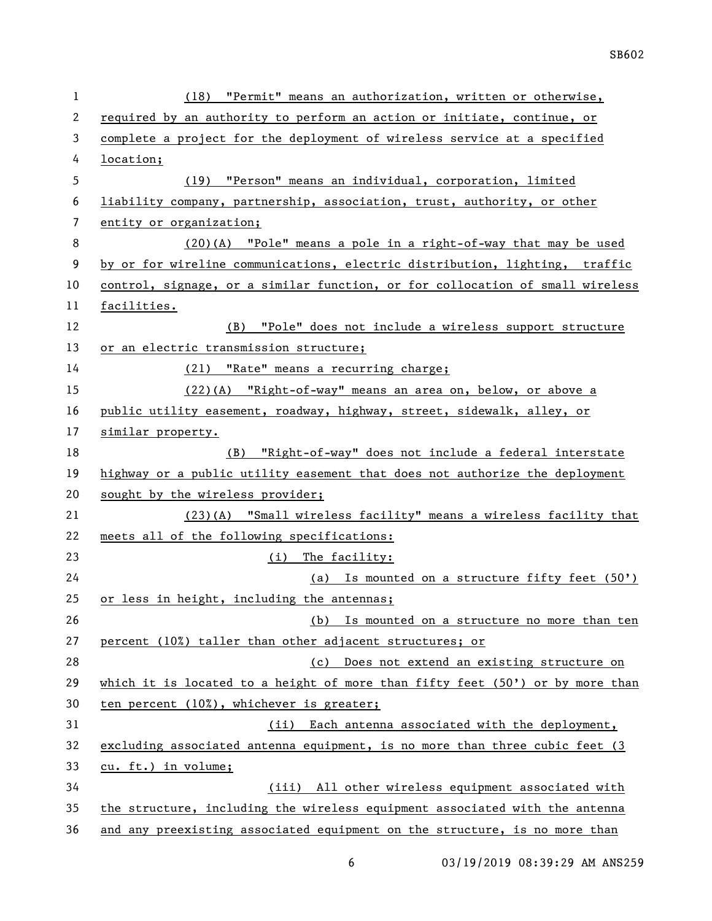| 1              | (18) "Permit" means an authorization, written or otherwise,                   |
|----------------|-------------------------------------------------------------------------------|
| 2              | required by an authority to perform an action or initiate, continue, or       |
| 3              | complete a project for the deployment of wireless service at a specified      |
| 4              | location;                                                                     |
| 5              | (19) "Person" means an individual, corporation, limited                       |
| 6              | liability company, partnership, association, trust, authority, or other       |
| $\overline{7}$ | entity or organization;                                                       |
| 8              | $(20)(A)$ "Pole" means a pole in a right-of-way that may be used              |
| 9              | by or for wireline communications, electric distribution, lighting, traffic   |
| 10             | control, signage, or a similar function, or for collocation of small wireless |
| 11             | facilities.                                                                   |
| 12             | (B) "Pole" does not include a wireless support structure                      |
| 13             | or an electric transmission structure;                                        |
| 14             | (21) "Rate" means a recurring charge;                                         |
| 15             | (22)(A) "Right-of-way" means an area on, below, or above a                    |
| 16             | public utility easement, roadway, highway, street, sidewalk, alley, or        |
| 17             | similar property.                                                             |
| 18             | (B) "Right-of-way" does not include a federal interstate                      |
| 19             | highway or a public utility easement that does not authorize the deployment   |
| 20             | sought by the wireless provider;                                              |
| 21             | (23)(A) "Small wireless facility" means a wireless facility that              |
| 22             | meets all of the following specifications:                                    |
| 23             | (i) The facility:                                                             |
| 24             | (a) Is mounted on a structure fifty feet $(50')$                              |
| 25             | or less in height, including the antennas;                                    |
| 26             | (b) Is mounted on a structure no more than ten                                |
| 27             | percent (10%) taller than other adjacent structures; or                       |
| 28             | (c) Does not extend an existing structure on                                  |
| 29             | which it is located to a height of more than fifty feet (50') or by more than |
| 30             | ten percent (10%), whichever is greater;                                      |
| 31             | (ii) Each antenna associated with the deployment,                             |
| 32             | excluding associated antenna equipment, is no more than three cubic feet (3)  |
| 33             | cu. ft.) in volume;                                                           |
| 34             | (iii) All other wireless equipment associated with                            |
| 35             | the structure, including the wireless equipment associated with the antenna   |
| 36             | and any preexisting associated equipment on the structure, is no more than    |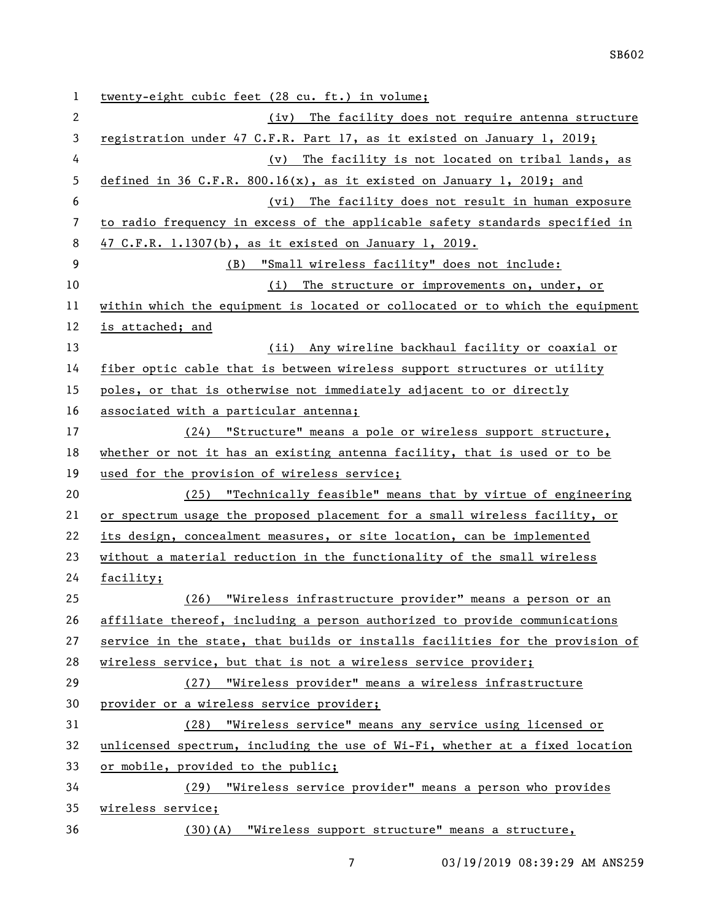| 1  | twenty-eight cubic feet (28 cu. ft.) in volume;                               |
|----|-------------------------------------------------------------------------------|
| 2  | The facility does not require antenna structure<br>(iv)                       |
| 3  | registration under 47 C.F.R. Part 17, as it existed on January 1, 2019;       |
| 4  | The facility is not located on tribal lands, as<br>(v)                        |
| 5  | defined in 36 C.F.R. 800.16(x), as it existed on January 1, 2019; and         |
| 6  | (vi) The facility does not result in human exposure                           |
| 7  | to radio frequency in excess of the applicable safety standards specified in  |
| 8  | 47 C.F.R. 1.1307(b), as it existed on January 1, 2019.                        |
| 9  | (B) "Small wireless facility" does not include:                               |
| 10 | The structure or improvements on, under, or<br>(i)                            |
| 11 | within which the equipment is located or collocated or to which the equipment |
| 12 | is attached; and                                                              |
| 13 | (ii) Any wireline backhaul facility or coaxial or                             |
| 14 | fiber optic cable that is between wireless support structures or utility      |
| 15 | poles, or that is otherwise not immediately adjacent to or directly           |
| 16 | associated with a particular antenna;                                         |
| 17 | (24) "Structure" means a pole or wireless support structure,                  |
| 18 | whether or not it has an existing antenna facility, that is used or to be     |
| 19 | used for the provision of wireless service;                                   |
| 20 | (25) "Technically feasible" means that by virtue of engineering               |
| 21 | or spectrum usage the proposed placement for a small wireless facility, or    |
| 22 | its design, concealment measures, or site location, can be implemented        |
| 23 | without a material reduction in the functionality of the small wireless       |
| 24 | facility;                                                                     |
| 25 | (26) "Wireless infrastructure provider" means a person or an                  |
| 26 | affiliate thereof, including a person authorized to provide communications    |
| 27 | service in the state, that builds or installs facilities for the provision of |
| 28 | wireless service, but that is not a wireless service provider;                |
| 29 | (27) "Wireless provider" means a wireless infrastructure                      |
| 30 | provider or a wireless service provider;                                      |
| 31 | (28) "Wireless service" means any service using licensed or                   |
| 32 | unlicensed spectrum, including the use of Wi-Fi, whether at a fixed location  |
| 33 | or mobile, provided to the public;                                            |
| 34 | (29) "Wireless service provider" means a person who provides                  |
| 35 | wireless service;                                                             |
|    |                                                                               |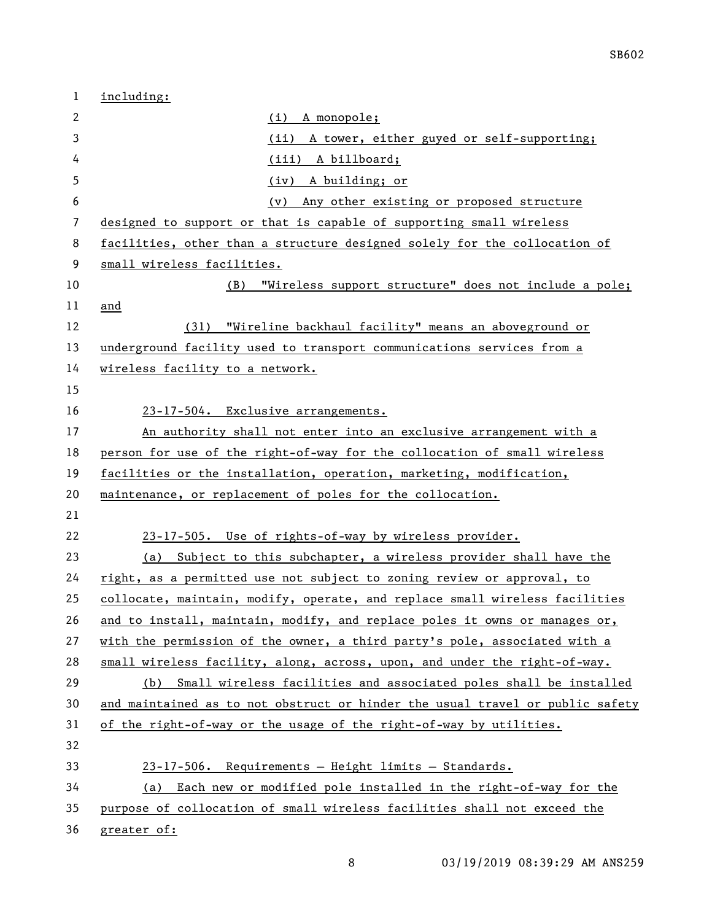| 1  | including:                                                                    |
|----|-------------------------------------------------------------------------------|
| 2  | (i) A monopole;                                                               |
| 3  | (i <sub>i</sub> )<br>A tower, either guyed or self-supporting;                |
| 4  | (iii) A billboard;                                                            |
| 5  | (iv) A building; or                                                           |
| 6  | Any other existing or proposed structure<br>(v)                               |
| 7  | designed to support or that is capable of supporting small wireless           |
| 8  | facilities, other than a structure designed solely for the collocation of     |
| 9  | small wireless facilities.                                                    |
| 10 | "Wireless support structure" does not include a pole;<br>(B)                  |
| 11 | and                                                                           |
| 12 | (31) "Wireline backhaul facility" means an aboveground or                     |
| 13 | underground facility used to transport communications services from a         |
| 14 | wireless facility to a network.                                               |
| 15 |                                                                               |
| 16 | 23-17-504. Exclusive arrangements.                                            |
| 17 | An authority shall not enter into an exclusive arrangement with a             |
| 18 | person for use of the right-of-way for the collocation of small wireless      |
| 19 | facilities or the installation, operation, marketing, modification,           |
| 20 | maintenance, or replacement of poles for the collocation.                     |
| 21 |                                                                               |
| 22 | 23-17-505. Use of rights-of-way by wireless provider.                         |
| 23 | (a) Subject to this subchapter, a wireless provider shall have the            |
| 24 | right, as a permitted use not subject to zoning review or approval, to        |
| 25 | collocate, maintain, modify, operate, and replace small wireless facilities   |
| 26 | and to install, maintain, modify, and replace poles it owns or manages or,    |
| 27 | with the permission of the owner, a third party's pole, associated with a     |
| 28 | small wireless facility, along, across, upon, and under the right-of-way.     |
| 29 | (b) Small wireless facilities and associated poles shall be installed         |
| 30 | and maintained as to not obstruct or hinder the usual travel or public safety |
| 31 | of the right-of-way or the usage of the right-of-way by utilities.            |
| 32 |                                                                               |
| 33 | 23-17-506. Requirements - Height limits - Standards.                          |
| 34 | (a) Each new or modified pole installed in the right-of-way for the           |
| 35 | purpose of collocation of small wireless facilities shall not exceed the      |
| 36 | greater of:                                                                   |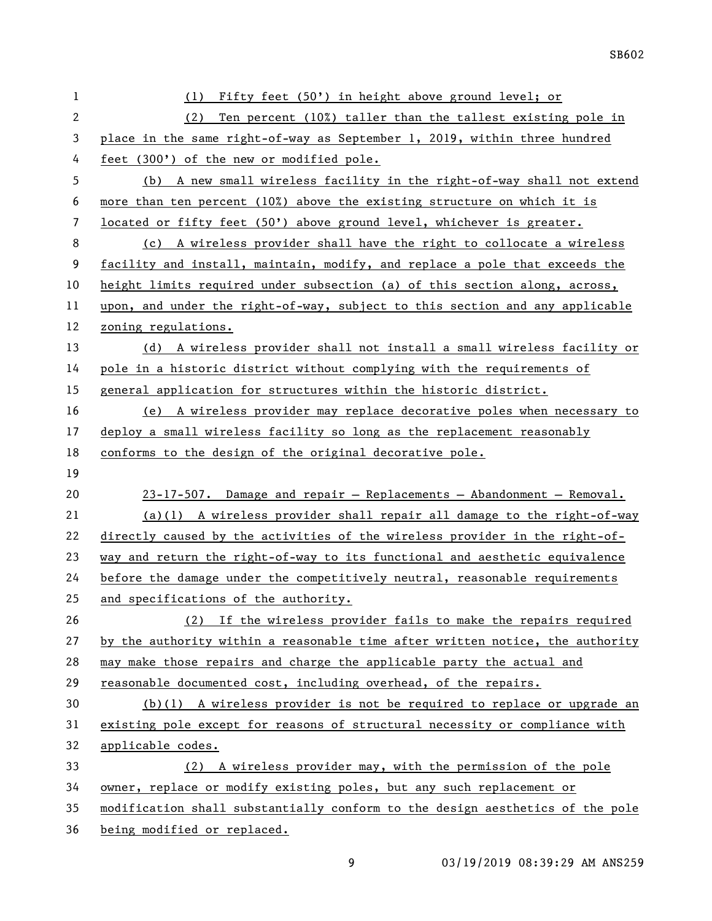| $\mathbf{1}$ | Fifty feet (50') in height above ground level; or<br>(1)                      |
|--------------|-------------------------------------------------------------------------------|
| $\mathbf{2}$ | (2)<br>Ten percent $(102)$ taller than the tallest existing pole in           |
| 3            | place in the same right-of-way as September 1, 2019, within three hundred     |
| 4            | feet (300') of the new or modified pole.                                      |
| 5            | (b) A new small wireless facility in the right-of-way shall not extend        |
| 6            | more than ten percent (10%) above the existing structure on which it is       |
| 7            | located or fifty feet (50') above ground level, whichever is greater.         |
| 8            | (c) A wireless provider shall have the right to collocate a wireless          |
| 9            | facility and install, maintain, modify, and replace a pole that exceeds the   |
| 10           | height limits required under subsection (a) of this section along, across,    |
| 11           | upon, and under the right-of-way, subject to this section and any applicable  |
| 12           | zoning regulations.                                                           |
| 13           | (d) A wireless provider shall not install a small wireless facility or        |
| 14           | pole in a historic district without complying with the requirements of        |
| 15           | general application for structures within the historic district.              |
| 16           | (e) A wireless provider may replace decorative poles when necessary to        |
| 17           | deploy a small wireless facility so long as the replacement reasonably        |
| 18           | conforms to the design of the original decorative pole.                       |
| 19           |                                                                               |
| 20           | $23-17-507$ . Damage and repair - Replacements - Abandonment - Removal.       |
| 21           | $(a)(1)$ A wireless provider shall repair all damage to the right-of-way      |
| 22           | directly caused by the activities of the wireless provider in the right-of-   |
| 23           | way and return the right-of-way to its functional and aesthetic equivalence   |
| 24           | before the damage under the competitively neutral, reasonable requirements    |
| 25           | and specifications of the authority.                                          |
| 26           | (2) If the wireless provider fails to make the repairs required               |
| 27           | by the authority within a reasonable time after written notice, the authority |
| 28           | may make those repairs and charge the applicable party the actual and         |
| 29           | reasonable documented cost, including overhead, of the repairs.               |
| 30           | $(b)(1)$ A wireless provider is not be required to replace or upgrade an      |
| 31           | existing pole except for reasons of structural necessity or compliance with   |
| 32           | applicable codes.                                                             |
| 33           | (2) A wireless provider may, with the permission of the pole                  |
| 34           | owner, replace or modify existing poles, but any such replacement or          |
| 35           |                                                                               |
|              | modification shall substantially conform to the design aesthetics of the pole |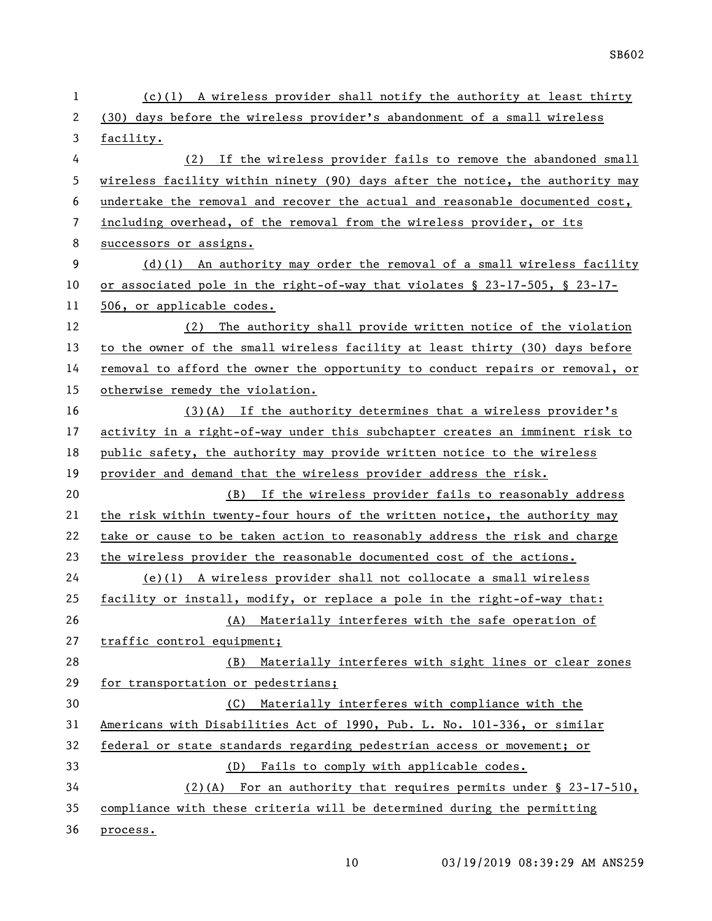(c)(1) A wireless provider shall notify the authority at least thirty (30) days before the wireless provider's abandonment of a small wireless facility. (2) If the wireless provider fails to remove the abandoned small wireless facility within ninety (90) days after the notice, the authority may undertake the removal and recover the actual and reasonable documented cost, including overhead, of the removal from the wireless provider, or its 8 successors or assigns. (d)(1) An authority may order the removal of a small wireless facility or associated pole in the right-of-way that violates § 23-17-505, § 23-17- 11 506, or applicable codes. (2) The authority shall provide written notice of the violation to the owner of the small wireless facility at least thirty (30) days before removal to afford the owner the opportunity to conduct repairs or removal, or otherwise remedy the violation. (3)(A) If the authority determines that a wireless provider's activity in a right-of-way under this subchapter creates an imminent risk to public safety, the authority may provide written notice to the wireless provider and demand that the wireless provider address the risk. (B) If the wireless provider fails to reasonably address the risk within twenty-four hours of the written notice, the authority may take or cause to be taken action to reasonably address the risk and charge the wireless provider the reasonable documented cost of the actions. (e)(1) A wireless provider shall not collocate a small wireless facility or install, modify, or replace a pole in the right-of-way that: (A) Materially interferes with the safe operation of traffic control equipment; (B) Materially interferes with sight lines or clear zones for transportation or pedestrians; (C) Materially interferes with compliance with the Americans with Disabilities Act of 1990, Pub. L. No. 101-336, or similar federal or state standards regarding pedestrian access or movement; or (D) Fails to comply with applicable codes. (2)(A) For an authority that requires permits under § 23-17-510, compliance with these criteria will be determined during the permitting process.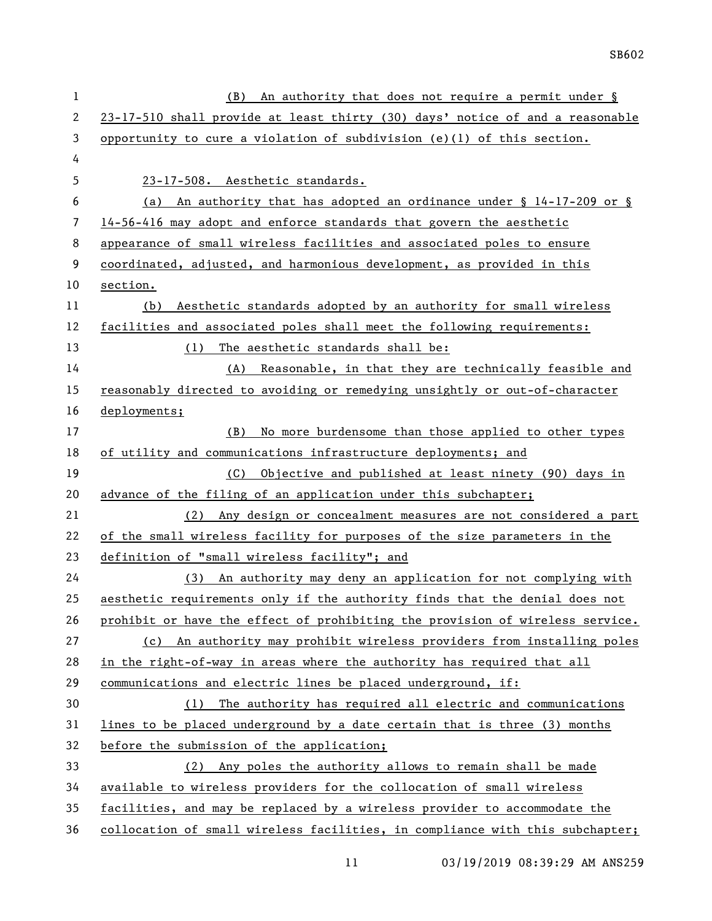| $\mathbf{1}$ | An authority that does not require a permit under §<br>(B)                    |
|--------------|-------------------------------------------------------------------------------|
| 2            | 23-17-510 shall provide at least thirty (30) days' notice of and a reasonable |
| 3            | opportunity to cure a violation of subdivision $(e)(1)$ of this section.      |
| 4            |                                                                               |
| 5            | 23-17-508. Aesthetic standards.                                               |
| 6            | (a) An authority that has adopted an ordinance under $\S$ 14-17-209 or $\S$   |
| 7            | 14-56-416 may adopt and enforce standards that govern the aesthetic           |
| 8            | appearance of small wireless facilities and associated poles to ensure        |
| 9            | coordinated, adjusted, and harmonious development, as provided in this        |
| 10           | section.                                                                      |
| 11           | Aesthetic standards adopted by an authority for small wireless<br>(b)         |
| 12           | facilities and associated poles shall meet the following requirements:        |
| 13           | (1) The aesthetic standards shall be:                                         |
| 14           | (A) Reasonable, in that they are technically feasible and                     |
| 15           | reasonably directed to avoiding or remedying unsightly or out-of-character    |
| 16           | deployments;                                                                  |
| 17           | (B)<br>No more burdensome than those applied to other types                   |
| 18           | of utility and communications infrastructure deployments; and                 |
| 19           | (C) Objective and published at least ninety (90) days in                      |
| 20           | advance of the filing of an application under this subchapter;                |
| 21           | (2) Any design or concealment measures are not considered a part              |
| 22           | of the small wireless facility for purposes of the size parameters in the     |
| 23           | definition of "small wireless facility"; and                                  |
| 24           | (3) An authority may deny an application for not complying with               |
| 25           | aesthetic requirements only if the authority finds that the denial does not   |
| 26           | prohibit or have the effect of prohibiting the provision of wireless service. |
| 27           | (c) An authority may prohibit wireless providers from installing poles        |
| 28           | in the right-of-way in areas where the authority has required that all        |
| 29           | communications and electric lines be placed underground, if:                  |
| 30           | (1) The authority has required all electric and communications                |
| 31           | lines to be placed underground by a date certain that is three (3) months     |
| 32           | before the submission of the application;                                     |
| 33           | Any poles the authority allows to remain shall be made<br>(2)                 |
| 34           | available to wireless providers for the collocation of small wireless         |
| 35           | facilities, and may be replaced by a wireless provider to accommodate the     |
| 36           | collocation of small wireless facilities, in compliance with this subchapter; |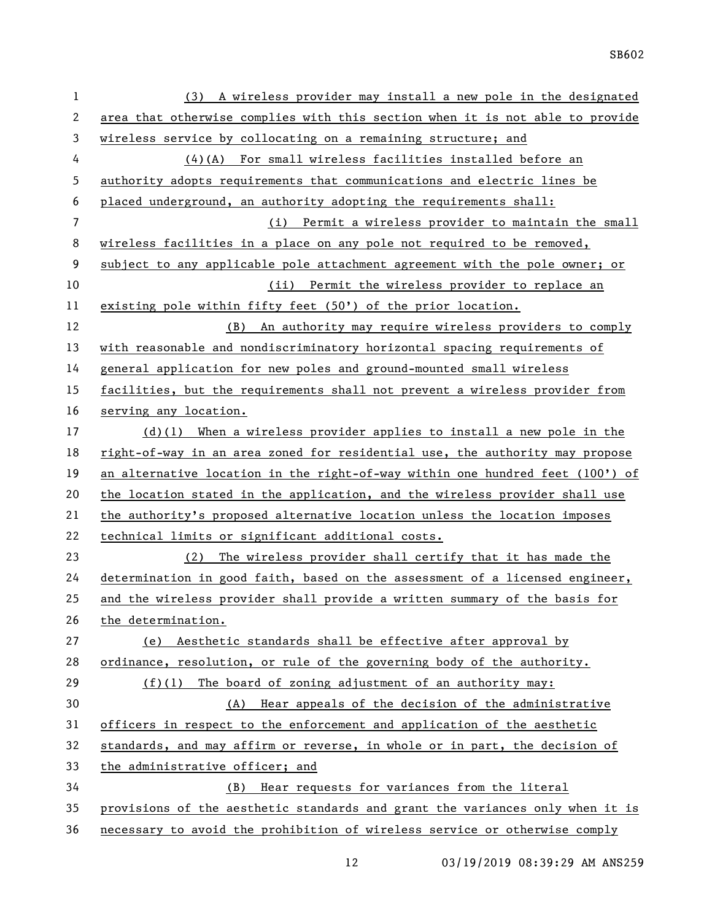| 1            | (3) A wireless provider may install a new pole in the designated              |
|--------------|-------------------------------------------------------------------------------|
| $\mathbf{2}$ | area that otherwise complies with this section when it is not able to provide |
| 3            | wireless service by collocating on a remaining structure; and                 |
| 4            | (4)(A) For small wireless facilities installed before an                      |
| 5            | authority adopts requirements that communications and electric lines be       |
| 6            | placed underground, an authority adopting the requirements shall:             |
| 7            | (i) Permit a wireless provider to maintain the small                          |
| 8            | wireless facilities in a place on any pole not required to be removed,        |
| 9            | subject to any applicable pole attachment agreement with the pole owner; or   |
| 10           | (ii) Permit the wireless provider to replace an                               |
| 11           | existing pole within fifty feet (50') of the prior location.                  |
| 12           | (B) An authority may require wireless providers to comply                     |
| 13           | with reasonable and nondiscriminatory horizontal spacing requirements of      |
| 14           | general application for new poles and ground-mounted small wireless           |
| 15           | facilities, but the requirements shall not prevent a wireless provider from   |
| 16           | serving any location.                                                         |
| 17           | $(d)(1)$ When a wireless provider applies to install a new pole in the        |
| 18           | right-of-way in an area zoned for residential use, the authority may propose  |
| 19           | an alternative location in the right-of-way within one hundred feet (100') of |
| 20           | the location stated in the application, and the wireless provider shall use   |
| 21           | the authority's proposed alternative location unless the location imposes     |
| 22           | technical limits or significant additional costs.                             |
| 23           | The wireless provider shall certify that it has made the<br>(2)               |
| 24           | determination in good faith, based on the assessment of a licensed engineer,  |
| 25           | and the wireless provider shall provide a written summary of the basis for    |
| 26           | the determination.                                                            |
| 27           | (e) Aesthetic standards shall be effective after approval by                  |
| 28           | ordinance, resolution, or rule of the governing body of the authority.        |
| 29           | $(f)(1)$ The board of zoning adjustment of an authority may:                  |
| 30           | (A) Hear appeals of the decision of the administrative                        |
| 31           | officers in respect to the enforcement and application of the aesthetic       |
| 32           | standards, and may affirm or reverse, in whole or in part, the decision of    |
| 33           | the administrative officer; and                                               |
| 34           | (B) Hear requests for variances from the literal                              |
| 35           | provisions of the aesthetic standards and grant the variances only when it is |
| 36           | necessary to avoid the prohibition of wireless service or otherwise comply    |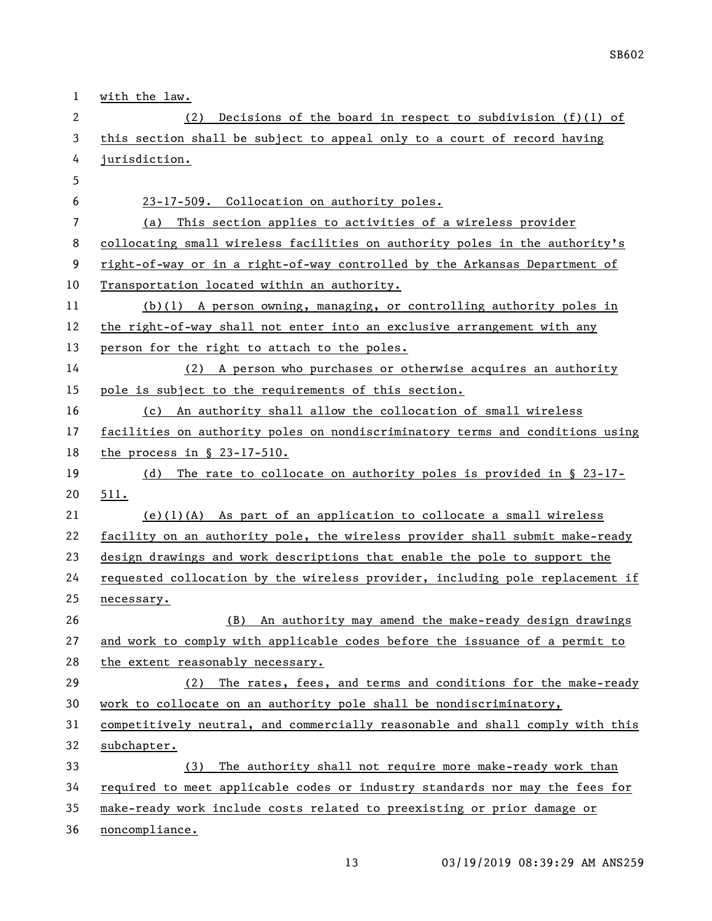| 1  | with the law.                                                                 |
|----|-------------------------------------------------------------------------------|
| 2  | Decisions of the board in respect to subdivision $(f)(1)$ of<br>(2)           |
| 3  | this section shall be subject to appeal only to a court of record having      |
| 4  | jurisdiction.                                                                 |
| 5  |                                                                               |
| 6  | 23-17-509. Collocation on authority poles.                                    |
| 7  | This section applies to activities of a wireless provider<br>(a)              |
| 8  | collocating small wireless facilities on authority poles in the authority's   |
| 9  | right-of-way or in a right-of-way controlled by the Arkansas Department of    |
| 10 | Transportation located within an authority.                                   |
| 11 | $(b)(1)$ A person owning, managing, or controlling authority poles in         |
| 12 | the right-of-way shall not enter into an exclusive arrangement with any       |
| 13 | person for the right to attach to the poles.                                  |
| 14 | (2) A person who purchases or otherwise acquires an authority                 |
| 15 | pole is subject to the requirements of this section.                          |
| 16 | (c) An authority shall allow the collocation of small wireless                |
| 17 | facilities on authority poles on nondiscriminatory terms and conditions using |
| 18 | the process in $\S$ 23-17-510.                                                |
| 19 | The rate to collocate on authority poles is provided in $\S$ 23-17-<br>(d)    |
| 20 | 511.                                                                          |
| 21 | $(e)(1)(A)$ As part of an application to collocate a small wireless           |
| 22 | facility on an authority pole, the wireless provider shall submit make-ready  |
| 23 | design drawings and work descriptions that enable the pole to support the     |
| 24 | requested collocation by the wireless provider, including pole replacement if |
| 25 | necessary.                                                                    |
| 26 | An authority may amend the make-ready design drawings<br>(B)                  |
| 27 | and work to comply with applicable codes before the issuance of a permit to   |
| 28 | the extent reasonably necessary.                                              |
| 29 | The rates, fees, and terms and conditions for the make-ready<br>(2)           |
| 30 | work to collocate on an authority pole shall be nondiscriminatory,            |
| 31 | competitively neutral, and commercially reasonable and shall comply with this |
| 32 | subchapter.                                                                   |
| 33 | The authority shall not require more make-ready work than<br>(3)              |
| 34 | required to meet applicable codes or industry standards nor may the fees for  |
| 35 | make-ready work include costs related to preexisting or prior damage or       |
| 36 | noncompliance.                                                                |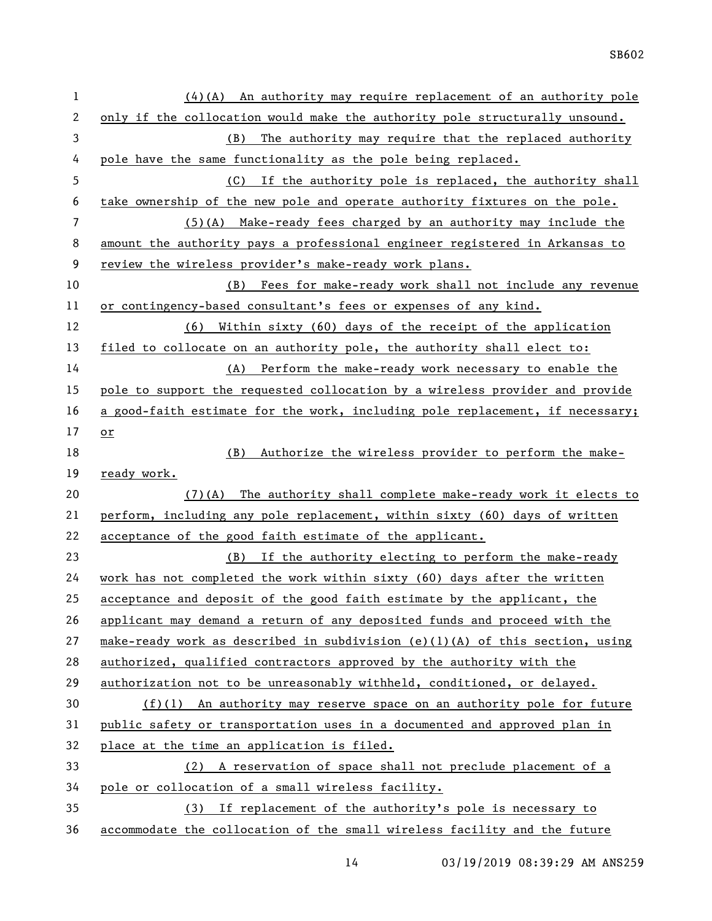| 1              | $(4)(A)$ An authority may require replacement of an authority pole            |
|----------------|-------------------------------------------------------------------------------|
| $\mathbf{2}$   | only if the collocation would make the authority pole structurally unsound.   |
| 3              | (B) The authority may require that the replaced authority                     |
| 4              | pole have the same functionality as the pole being replaced.                  |
| 5              | (C) If the authority pole is replaced, the authority shall                    |
| 6              | take ownership of the new pole and operate authority fixtures on the pole.    |
| $\overline{7}$ | $(5)$ (A) Make-ready fees charged by an authority may include the             |
| 8              | amount the authority pays a professional engineer registered in Arkansas to   |
| 9              | review the wireless provider's make-ready work plans.                         |
| 10             | (B) Fees for make-ready work shall not include any revenue                    |
| 11             | or contingency-based consultant's fees or expenses of any kind.               |
| 12             | Within sixty (60) days of the receipt of the application<br>(6)               |
| 13             | filed to collocate on an authority pole, the authority shall elect to:        |
| 14             | (A) Perform the make-ready work necessary to enable the                       |
| 15             | pole to support the requested collocation by a wireless provider and provide  |
| 16             | a good-faith estimate for the work, including pole replacement, if necessary; |
| 17             | or                                                                            |
| 18             | Authorize the wireless provider to perform the make-<br>(B)                   |
| 19             | ready work.                                                                   |
| 20             | The authority shall complete make-ready work it elects to<br>(7)(A)           |
| 21             | perform, including any pole replacement, within sixty (60) days of written    |
| 22             | acceptance of the good faith estimate of the applicant.                       |
| 23             | (B) If the authority electing to perform the make-ready                       |
| 24             | work has not completed the work within sixty (60) days after the written      |
| 25             | acceptance and deposit of the good faith estimate by the applicant, the       |
| 26             | applicant may demand a return of any deposited funds and proceed with the     |
| 27             | make-ready work as described in subdivision (e)(1)(A) of this section, using  |
| 28             | authorized, qualified contractors approved by the authority with the          |
| 29             | authorization not to be unreasonably withheld, conditioned, or delayed.       |
| 30             | $(f)(1)$ An authority may reserve space on an authority pole for future       |
| 31             | public safety or transportation uses in a documented and approved plan in     |
| 32             | place at the time an application is filed.                                    |
| 33             | (2) A reservation of space shall not preclude placement of a                  |
| 34             | pole or collocation of a small wireless facility.                             |
| 35             | (3) If replacement of the authority's pole is necessary to                    |
|                |                                                                               |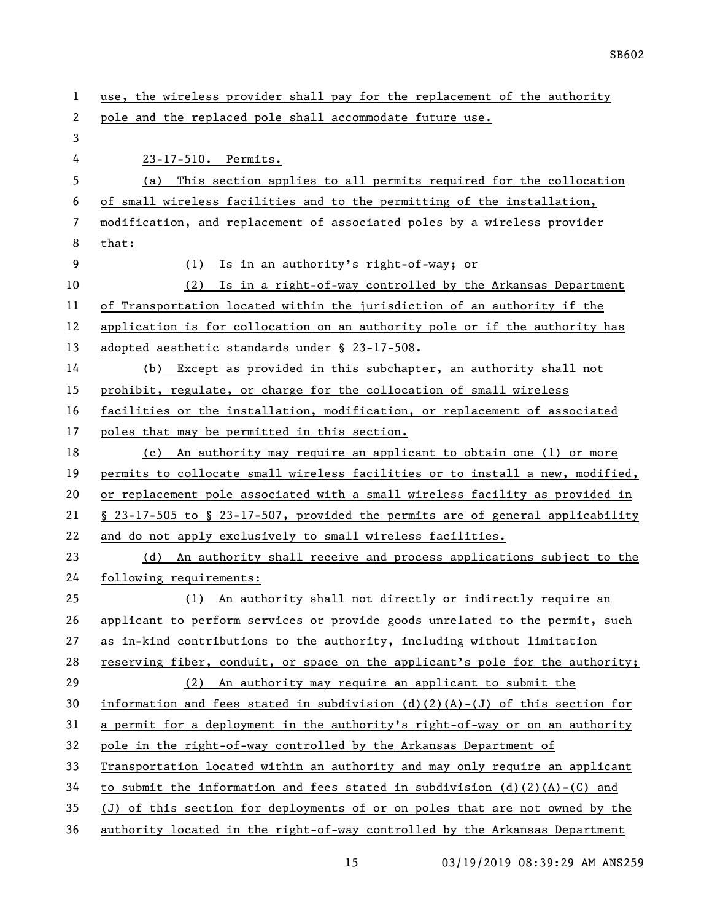| 1  | use, the wireless provider shall pay for the replacement of the authority      |
|----|--------------------------------------------------------------------------------|
| 2  | pole and the replaced pole shall accommodate future use.                       |
| 3  |                                                                                |
| 4  | 23-17-510. Permits.                                                            |
| 5  | This section applies to all permits required for the collocation<br>(a)        |
| 6  | of small wireless facilities and to the permitting of the installation,        |
| 7  | modification, and replacement of associated poles by a wireless provider       |
| 8  | that:                                                                          |
| 9  | Is in an authority's right-of-way; or<br>(1)                                   |
| 10 | Is in a right-of-way controlled by the Arkansas Department<br>(2)              |
| 11 | of Transportation located within the jurisdiction of an authority if the       |
| 12 | application is for collocation on an authority pole or if the authority has    |
| 13 | adopted aesthetic standards under § 23-17-508.                                 |
| 14 | Except as provided in this subchapter, an authority shall not<br>(b)           |
| 15 | prohibit, regulate, or charge for the collocation of small wireless            |
| 16 | facilities or the installation, modification, or replacement of associated     |
| 17 | poles that may be permitted in this section.                                   |
| 18 | An authority may require an applicant to obtain one (1) or more<br>(c)         |
| 19 | permits to collocate small wireless facilities or to install a new, modified,  |
| 20 | or replacement pole associated with a small wireless facility as provided in   |
| 21 | § 23-17-505 to § 23-17-507, provided the permits are of general applicability  |
| 22 | and do not apply exclusively to small wireless facilities.                     |
| 23 | An authority shall receive and process applications subject to the<br>(d)      |
| 24 | following requirements:                                                        |
| 25 | (1) An authority shall not directly or indirectly require an                   |
| 26 | applicant to perform services or provide goods unrelated to the permit, such   |
| 27 | as in-kind contributions to the authority, including without limitation        |
| 28 | reserving fiber, conduit, or space on the applicant's pole for the authority;  |
| 29 | (2) An authority may require an applicant to submit the                        |
| 30 | information and fees stated in subdivision $(d)(2)(A)-(J)$ of this section for |
| 31 | a permit for a deployment in the authority's right-of-way or on an authority   |
| 32 | pole in the right-of-way controlled by the Arkansas Department of              |
| 33 | Transportation located within an authority and may only require an applicant   |
| 34 | to submit the information and fees stated in subdivision $(d)(2)(A)-(C)$ and   |
| 35 | (J) of this section for deployments of or on poles that are not owned by the   |
| 36 | authority located in the right-of-way controlled by the Arkansas Department    |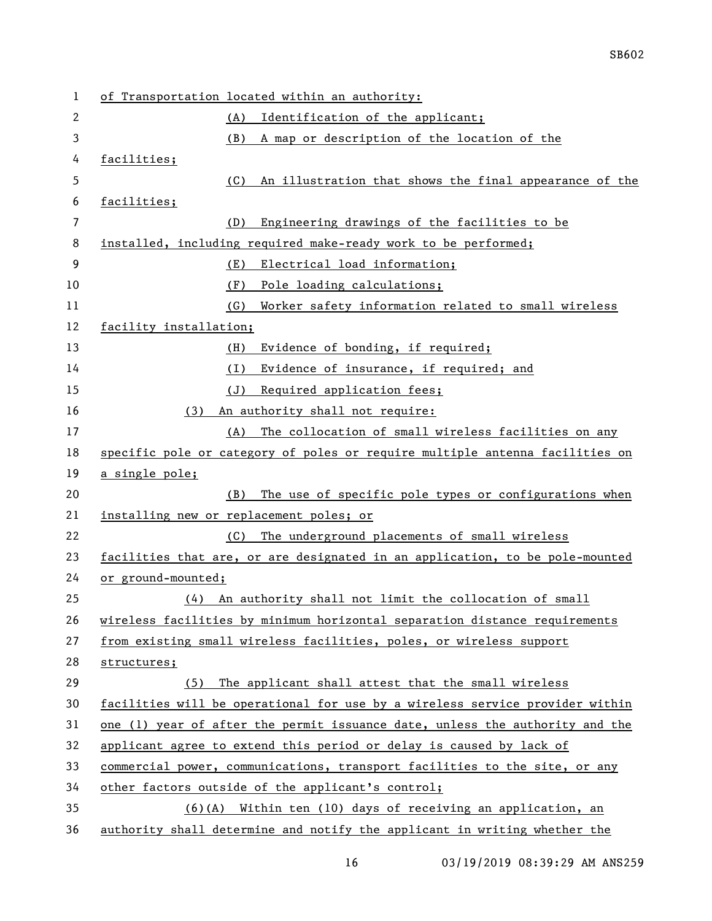| 1  | of Transportation located within an authority:                               |
|----|------------------------------------------------------------------------------|
| 2  | Identification of the applicant;<br>(A)                                      |
| 3  | (B)<br>A map or description of the location of the                           |
| 4  | facilities;                                                                  |
| 5  | An illustration that shows the final appearance of the<br>(C)                |
| 6  | facilities;                                                                  |
| 7  | (D)<br>Engineering drawings of the facilities to be                          |
| 8  | installed, including required make-ready work to be performed;               |
| 9  | Electrical load information;<br>(E)                                          |
| 10 | Pole loading calculations;<br>(F)                                            |
| 11 | Worker safety information related to small wireless<br>(G)                   |
| 12 | facility installation;                                                       |
| 13 | Evidence of bonding, if required;<br>(H)                                     |
| 14 | Evidence of insurance, if required; and<br>(1)                               |
| 15 | Required application fees;<br>(J)                                            |
| 16 | An authority shall not require:<br>(3)                                       |
| 17 | The collocation of small wireless facilities on any<br>(A)                   |
| 18 | specific pole or category of poles or require multiple antenna facilities on |
| 19 | a single pole;                                                               |
| 20 | The use of specific pole types or configurations when<br>(B)                 |
| 21 | installing new or replacement poles; or                                      |
| 22 | The underground placements of small wireless<br>(C)                          |
| 23 | facilities that are, or are designated in an application, to be pole-mounted |
| 24 | or ground-mounted;                                                           |
| 25 | An authority shall not limit the collocation of small<br>(4)                 |
| 26 | wireless facilities by minimum horizontal separation distance requirements   |
| 27 | from existing small wireless facilities, poles, or wireless support          |
| 28 | structures;                                                                  |
| 29 | The applicant shall attest that the small wireless<br>(5)                    |
| 30 | facilities will be operational for use by a wireless service provider within |
| 31 | one (1) year of after the permit issuance date, unless the authority and the |
| 32 | applicant agree to extend this period or delay is caused by lack of          |
| 33 | commercial power, communications, transport facilities to the site, or any   |
| 34 | other factors outside of the applicant's control;                            |
| 35 | $(6)(A)$ Within ten (10) days of receiving an application, an                |
| 36 | authority shall determine and notify the applicant in writing whether the    |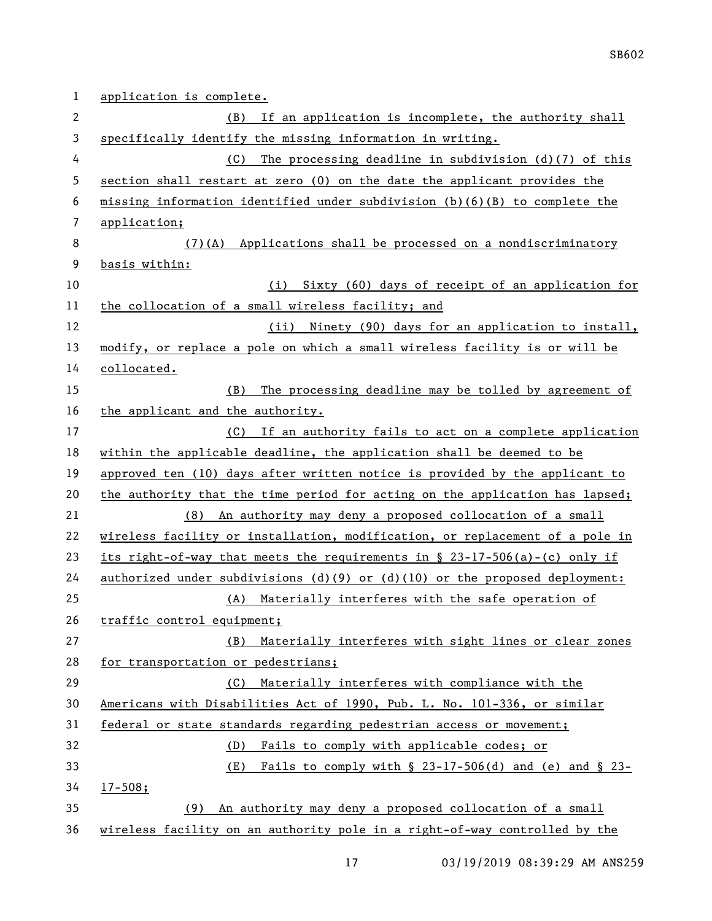| 1              | application is complete.                                                               |
|----------------|----------------------------------------------------------------------------------------|
| 2              | If an application is incomplete, the authority shall<br>(B)                            |
| 3              | specifically identify the missing information in writing.                              |
| 4              | The processing deadline in subdivision $(d)(7)$ of this<br>(C)                         |
| 5              | section shall restart at zero (0) on the date the applicant provides the               |
| 6              | missing information identified under subdivision $(b)(6)(B)$ to complete the           |
| $\overline{7}$ | application;                                                                           |
| 8              | (7)(A) Applications shall be processed on a nondiscriminatory                          |
| 9              | basis within:                                                                          |
| 10             | (i) Sixty (60) days of receipt of an application for                                   |
| 11             | the collocation of a small wireless facility; and                                      |
| 12             | (ii) Ninety (90) days for an application to install,                                   |
| 13             | modify, or replace a pole on which a small wireless facility is or will be             |
| 14             | collocated.                                                                            |
| 15             | The processing deadline may be tolled by agreement of<br>(B)                           |
| 16             | the applicant and the authority.                                                       |
| 17             | (C) If an authority fails to act on a complete application                             |
| 18             | within the applicable deadline, the application shall be deemed to be                  |
| 19             | approved ten (10) days after written notice is provided by the applicant to            |
| 20             | the authority that the time period for acting on the application has lapsed;           |
| 21             | (8) An authority may deny a proposed collocation of a small                            |
| 22             | wireless facility or installation, modification, or replacement of a pole in           |
| 23             | its right-of-way that meets the requirements in $\S$ 23-17-506(a)-(c) only if          |
| 24             | <u>authorized</u> under subdivisions $(d)(9)$ or $(d)(10)$ or the proposed deployment: |
| 25             | (A) Materially interferes with the safe operation of                                   |
| 26             | traffic control equipment;                                                             |
| 27             | Materially interferes with sight lines or clear zones<br>(B)                           |
| 28             | for transportation or pedestrians;                                                     |
| 29             | (C) Materially interferes with compliance with the                                     |
| 30             | Americans with Disabilities Act of 1990, Pub. L. No. 101-336, or similar               |
| 31             | federal or state standards regarding pedestrian access or movement;                    |
| 32             | Fails to comply with applicable codes; or<br>(D)                                       |
| 33             | (E)<br>Fails to comply with $\S$ 23-17-506(d) and (e) and $\S$ 23-                     |
| 34             | $17 - 508;$                                                                            |
| 35             | An authority may deny a proposed collocation of a small<br>(9)                         |
| 36             | wireless facility on an authority pole in a right-of-way controlled by the             |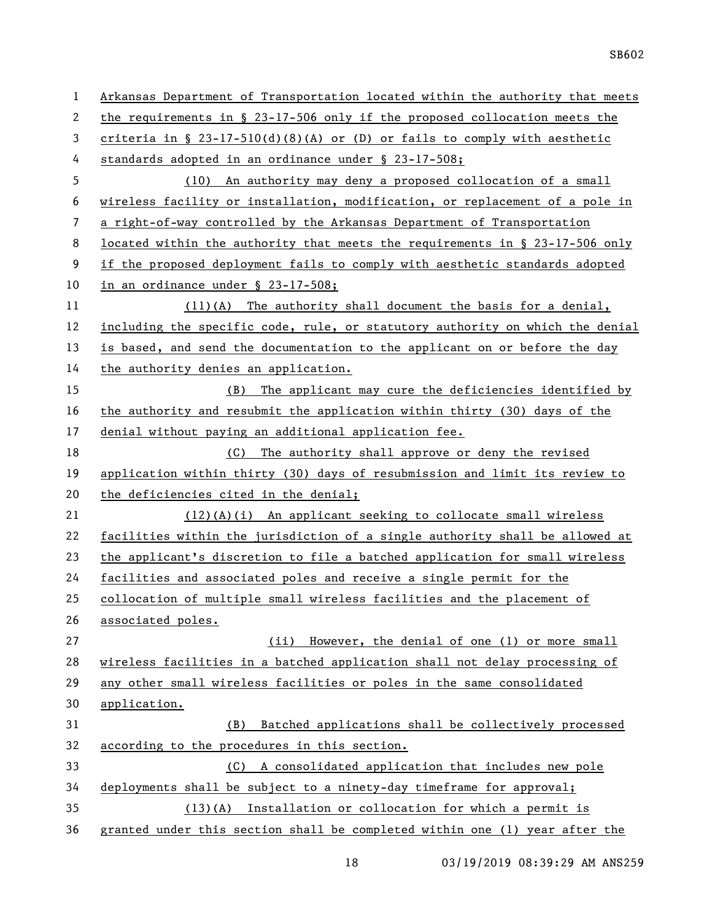| 1              | Arkansas Department of Transportation located within the authority that meets |
|----------------|-------------------------------------------------------------------------------|
| 2              | the requirements in $\S$ 23-17-506 only if the proposed collocation meets the |
| 3              | criteria in § $23-17-510(d)(8)(A)$ or (D) or fails to comply with aesthetic   |
| 4              | standards adopted in an ordinance under § 23-17-508;                          |
| 5              | (10) An authority may deny a proposed collocation of a small                  |
| 6              | wireless facility or installation, modification, or replacement of a pole in  |
| $\overline{7}$ | a right-of-way controlled by the Arkansas Department of Transportation        |
| 8              | located within the authority that meets the requirements in § 23-17-506 only  |
| 9              | if the proposed deployment fails to comply with aesthetic standards adopted   |
| 10             | in an ordinance under § 23-17-508;                                            |
| 11             | $(11)(A)$ The authority shall document the basis for a denial,                |
| 12             | including the specific code, rule, or statutory authority on which the denial |
| 13             | is based, and send the documentation to the applicant on or before the day    |
| 14             | the authority denies an application.                                          |
| 15             | (B) The applicant may cure the deficiencies identified by                     |
| 16             | the authority and resubmit the application within thirty (30) days of the     |
| 17             | denial without paying an additional application fee.                          |
| 18             | (C) The authority shall approve or deny the revised                           |
| 19             | application within thirty (30) days of resubmission and limit its review to   |
| 20             | the deficiencies cited in the denial;                                         |
| 21             | (12)(A)(i) An applicant seeking to collocate small wireless                   |
| 22             | facilities within the jurisdiction of a single authority shall be allowed at  |
| 23             | the applicant's discretion to file a batched application for small wireless   |
| 24             | facilities and associated poles and receive a single permit for the           |
| 25             | collocation of multiple small wireless facilities and the placement of        |
| 26             | associated poles.                                                             |
| 27             | (ii) However, the denial of one (1) or more small                             |
| 28             | wireless facilities in a batched application shall not delay processing of    |
| 29             | any other small wireless facilities or poles in the same consolidated         |
| 30             | application.                                                                  |
| 31             | Batched applications shall be collectively processed<br>(B)                   |
| 32             | according to the procedures in this section.                                  |
| 33             | (C) A consolidated application that includes new pole                         |
| 34             | deployments shall be subject to a ninety-day timeframe for approval;          |
| 35             | $(13)(A)$ Installation or collocation for which a permit is                   |
| 36             | granted under this section shall be completed within one (1) year after the   |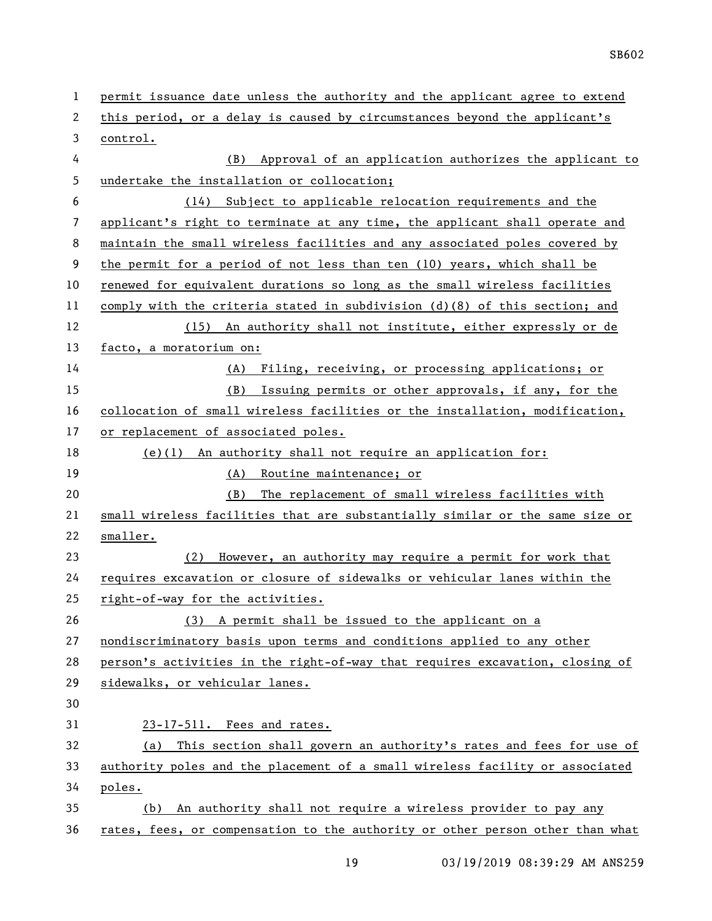| $\mathbf{1}$ | permit issuance date unless the authority and the applicant agree to extend   |
|--------------|-------------------------------------------------------------------------------|
| 2            | this period, or a delay is caused by circumstances beyond the applicant's     |
| 3            | control.                                                                      |
| 4            | Approval of an application authorizes the applicant to<br>(B)                 |
| 5            | undertake the installation or collocation;                                    |
| 6            | Subject to applicable relocation requirements and the<br>(14)                 |
| 7            | applicant's right to terminate at any time, the applicant shall operate and   |
| 8            | maintain the small wireless facilities and any associated poles covered by    |
| 9            | the permit for a period of not less than ten (10) years, which shall be       |
| 10           | renewed for equivalent durations so long as the small wireless facilities     |
| 11           | comply with the criteria stated in subdivision $(d)(8)$ of this section; and  |
| 12           | (15) An authority shall not institute, either expressly or de                 |
| 13           | facto, a moratorium on:                                                       |
| 14           | (A) Filing, receiving, or processing applications; or                         |
| 15           | (B) Issuing permits or other approvals, if any, for the                       |
| 16           | collocation of small wireless facilities or the installation, modification,   |
| 17           | or replacement of associated poles.                                           |
| 18           | $(e)(1)$ An authority shall not require an application for:                   |
| 19           | (A) Routine maintenance; or                                                   |
| 20           | The replacement of small wireless facilities with<br>(B)                      |
| 21           | small wireless facilities that are substantially similar or the same size or  |
| 22           | smaller.                                                                      |
| 23           | (2) However, an authority may require a permit for work that                  |
| 24           | requires excavation or closure of sidewalks or vehicular lanes within the     |
| 25           | right-of-way for the activities.                                              |
| 26           | (3) A permit shall be issued to the applicant on a                            |
| 27           | nondiscriminatory basis upon terms and conditions applied to any other        |
| 28           | person's activities in the right-of-way that requires excavation, closing of  |
| 29           | sidewalks, or vehicular lanes.                                                |
| 30           |                                                                               |
| 31           | 23-17-511. Fees and rates.                                                    |
| 32           | This section shall govern an authority's rates and fees for use of<br>(a)     |
| 33           | authority poles and the placement of a small wireless facility or associated  |
| 34           | poles.                                                                        |
| 35           | An authority shall not require a wireless provider to pay any<br>(b)          |
| 36           | rates, fees, or compensation to the authority or other person other than what |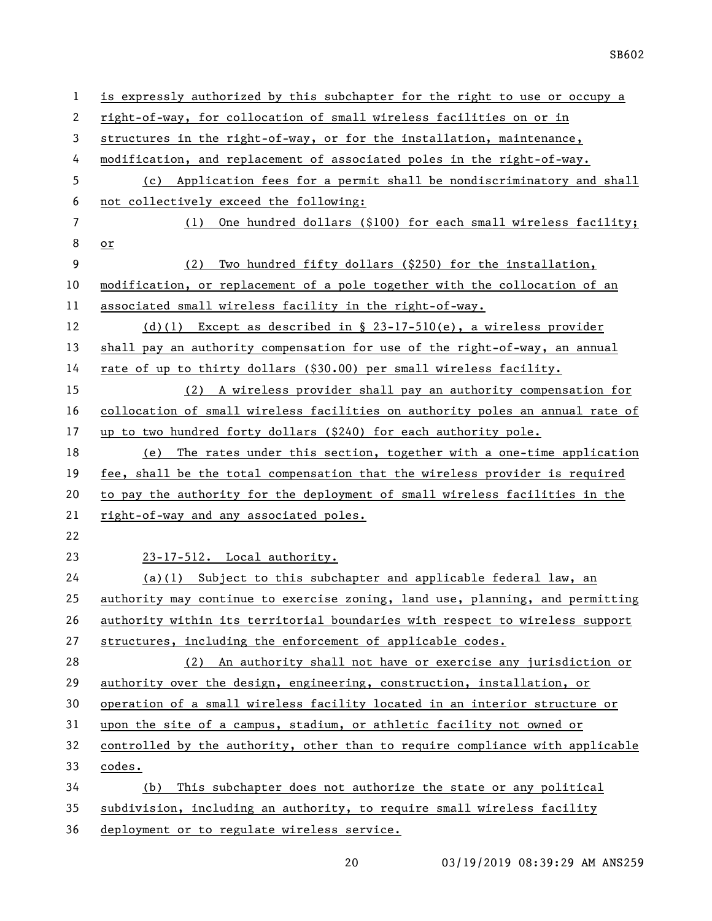| $\mathbf{1}$   | is expressly authorized by this subchapter for the right to use or occupy a   |
|----------------|-------------------------------------------------------------------------------|
| 2              | right-of-way, for collocation of small wireless facilities on or in           |
| 3              | structures in the right-of-way, or for the installation, maintenance,         |
| 4              | modification, and replacement of associated poles in the right-of-way.        |
| 5              | (c) Application fees for a permit shall be nondiscriminatory and shall        |
| 6              | not collectively exceed the following:                                        |
| $\overline{7}$ | One hundred dollars (\$100) for each small wireless facility;<br>(1)          |
| 8              | or                                                                            |
| 9              | Two hundred fifty dollars (\$250) for the installation,<br>(2)                |
| 10             | modification, or replacement of a pole together with the collocation of an    |
| 11             | associated small wireless facility in the right-of-way.                       |
| 12             | (d)(1) Except as described in $\S$ 23-17-510(e), a wireless provider          |
| 13             | shall pay an authority compensation for use of the right-of-way, an annual    |
| 14             | rate of up to thirty dollars (\$30.00) per small wireless facility.           |
| 15             | (2) A wireless provider shall pay an authority compensation for               |
| 16             | collocation of small wireless facilities on authority poles an annual rate of |
| 17             | up to two hundred forty dollars (\$240) for each authority pole.              |
| 18             | (e) The rates under this section, together with a one-time application        |
| 19             | fee, shall be the total compensation that the wireless provider is required   |
| 20             | to pay the authority for the deployment of small wireless facilities in the   |
| 21             | right-of-way and any associated poles.                                        |
| 22             |                                                                               |
| 23             | 23-17-512. Local authority.                                                   |
| 24             | $(a)(1)$ Subject to this subchapter and applicable federal law, an            |
| 25             | authority may continue to exercise zoning, land use, planning, and permitting |
| 26             | authority within its territorial boundaries with respect to wireless support  |
| 27             | structures, including the enforcement of applicable codes.                    |
| 28             | (2) An authority shall not have or exercise any jurisdiction or               |
| 29             | authority over the design, engineering, construction, installation, or        |
| 30             | operation of a small wireless facility located in an interior structure or    |
| 31             | upon the site of a campus, stadium, or athletic facility not owned or         |
| 32             | controlled by the authority, other than to require compliance with applicable |
| 33             | codes.                                                                        |
| 34             | (b) This subchapter does not authorize the state or any political             |
| 35             |                                                                               |
|                | subdivision, including an authority, to require small wireless facility       |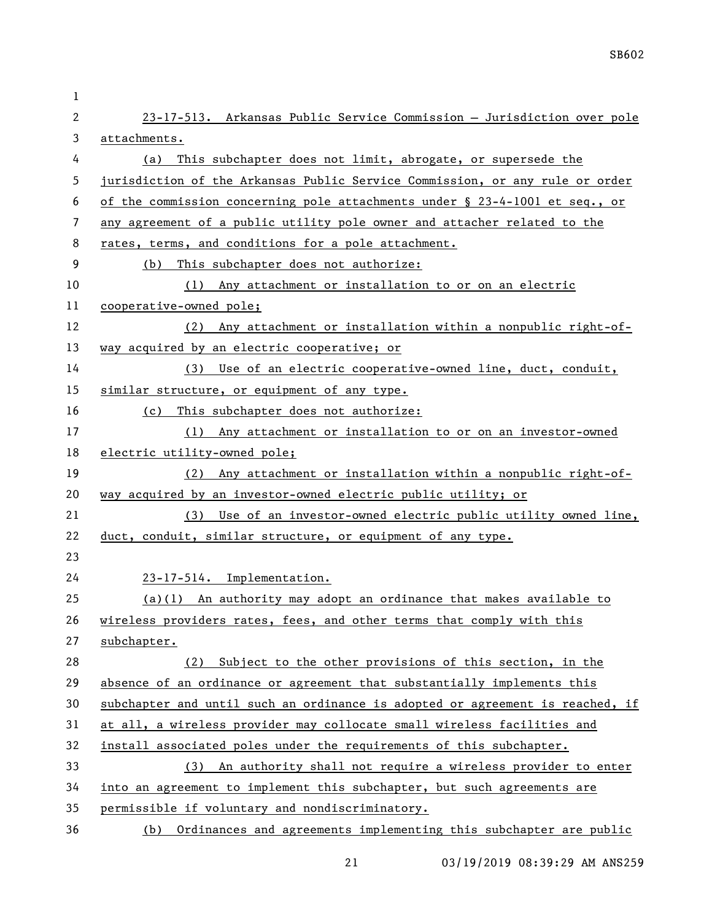| 1  |                                                                               |
|----|-------------------------------------------------------------------------------|
| 2  | 23-17-513. Arkansas Public Service Commission - Jurisdiction over pole        |
| 3  | attachments.                                                                  |
| 4  | This subchapter does not limit, abrogate, or supersede the<br>(a)             |
| 5  | jurisdiction of the Arkansas Public Service Commission, or any rule or order  |
| 6  | of the commission concerning pole attachments under § 23-4-1001 et seq., or   |
| 7  | any agreement of a public utility pole owner and attacher related to the      |
| 8  | rates, terms, and conditions for a pole attachment.                           |
| 9  | This subchapter does not authorize:<br>(b)                                    |
| 10 | (1) Any attachment or installation to or on an electric                       |
| 11 | cooperative-owned pole;                                                       |
| 12 | (2) Any attachment or installation within a nonpublic right-of-               |
| 13 | way acquired by an electric cooperative; or                                   |
| 14 | (3) Use of an electric cooperative-owned line, duct, conduit,                 |
| 15 | similar structure, or equipment of any type.                                  |
| 16 | This subchapter does not authorize:<br>(c)                                    |
| 17 | (1) Any attachment or installation to or on an investor-owned                 |
| 18 | electric utility-owned pole;                                                  |
| 19 | (2) Any attachment or installation within a nonpublic right-of-               |
| 20 | way acquired by an investor-owned electric public utility; or                 |
| 21 | (3) Use of an investor-owned electric public utility owned line,              |
| 22 | duct, conduit, similar structure, or equipment of any type.                   |
| 23 |                                                                               |
| 24 | 23-17-514. Implementation.                                                    |
| 25 | $(a)(1)$ An authority may adopt an ordinance that makes available to          |
| 26 | wireless providers rates, fees, and other terms that comply with this         |
| 27 | subchapter.                                                                   |
| 28 | Subject to the other provisions of this section, in the<br>(2)                |
| 29 | absence of an ordinance or agreement that substantially implements this       |
| 30 | subchapter and until such an ordinance is adopted or agreement is reached, if |
| 31 | at all, a wireless provider may collocate small wireless facilities and       |
| 32 | install associated poles under the requirements of this subchapter.           |
| 33 | (3) An authority shall not require a wireless provider to enter               |
| 34 | into an agreement to implement this subchapter, but such agreements are       |
| 35 | permissible if voluntary and nondiscriminatory.                               |
| 36 | (b) Ordinances and agreements implementing this subchapter are public         |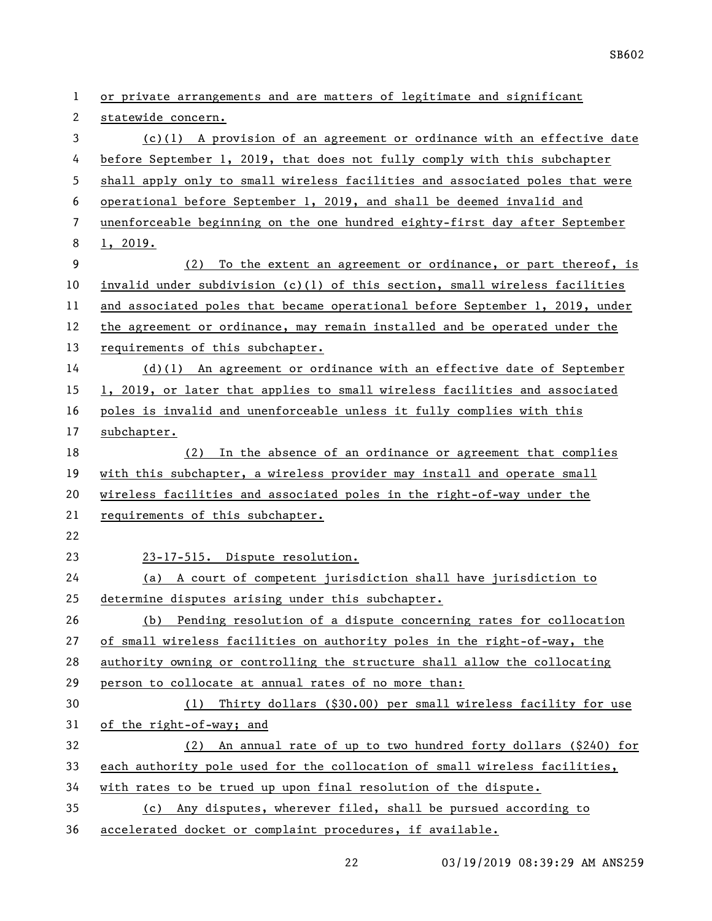or private arrangements and are matters of legitimate and significant statewide concern. (c)(1) A provision of an agreement or ordinance with an effective date before September 1, 2019, that does not fully comply with this subchapter shall apply only to small wireless facilities and associated poles that were operational before September 1, 2019, and shall be deemed invalid and unenforceable beginning on the one hundred eighty-first day after September 1, 2019. (2) To the extent an agreement or ordinance, or part thereof, is 10 invalid under subdivision  $(c)(1)$  of this section, small wireless facilities 11 and associated poles that became operational before September 1, 2019, under the agreement or ordinance, may remain installed and be operated under the requirements of this subchapter. (d)(1) An agreement or ordinance with an effective date of September 1, 2019, or later that applies to small wireless facilities and associated poles is invalid and unenforceable unless it fully complies with this subchapter. (2) In the absence of an ordinance or agreement that complies with this subchapter, a wireless provider may install and operate small wireless facilities and associated poles in the right-of-way under the requirements of this subchapter. 23-17-515. Dispute resolution. (a) A court of competent jurisdiction shall have jurisdiction to determine disputes arising under this subchapter. (b) Pending resolution of a dispute concerning rates for collocation of small wireless facilities on authority poles in the right-of-way, the authority owning or controlling the structure shall allow the collocating person to collocate at annual rates of no more than: (1) Thirty dollars (\$30.00) per small wireless facility for use of the right-of-way; and (2) An annual rate of up to two hundred forty dollars (\$240) for each authority pole used for the collocation of small wireless facilities, with rates to be trued up upon final resolution of the dispute.

 (c) Any disputes, wherever filed, shall be pursued according to accelerated docket or complaint procedures, if available.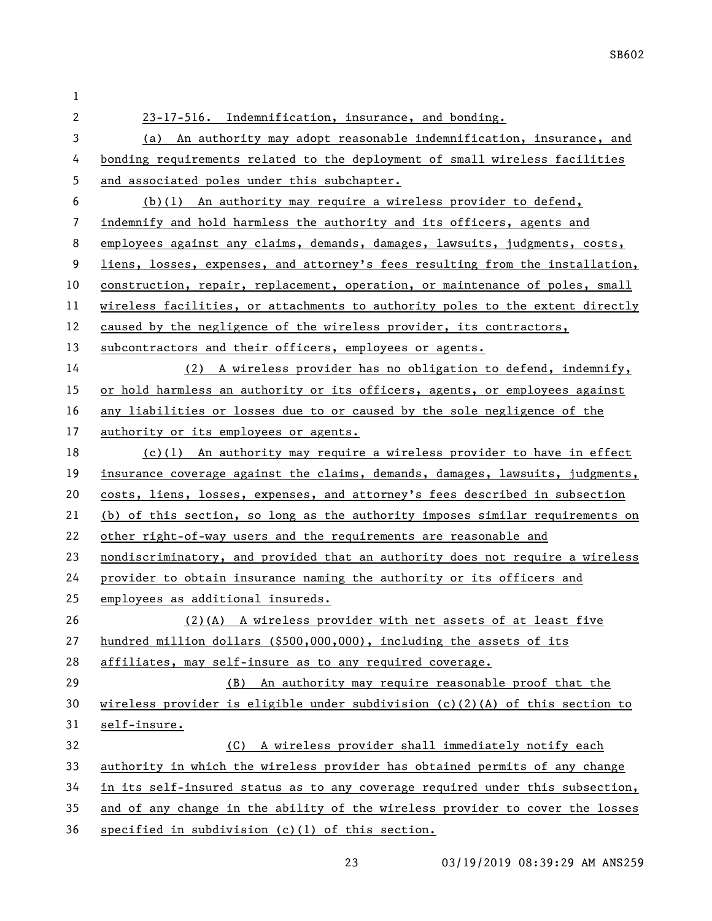| 1                        |                                                                                |
|--------------------------|--------------------------------------------------------------------------------|
| $\overline{2}$           | 23-17-516. Indemnification, insurance, and bonding.                            |
| 3                        | (a) An authority may adopt reasonable indemnification, insurance, and          |
| 4                        | bonding requirements related to the deployment of small wireless facilities    |
| 5                        | and associated poles under this subchapter.                                    |
| 6                        | $(b)(1)$ An authority may require a wireless provider to defend,               |
| $\overline{\phantom{a}}$ | indemnify and hold harmless the authority and its officers, agents and         |
| 8                        | employees against any claims, demands, damages, lawsuits, judgments, costs,    |
| 9                        | liens, losses, expenses, and attorney's fees resulting from the installation,  |
| 10                       | construction, repair, replacement, operation, or maintenance of poles, small   |
| 11                       | wireless facilities, or attachments to authority poles to the extent directly  |
| 12                       | caused by the negligence of the wireless provider, its contractors,            |
| 13                       | subcontractors and their officers, employees or agents.                        |
| 14                       | (2) A wireless provider has no obligation to defend, indemnify,                |
| 15                       | or hold harmless an authority or its officers, agents, or employees against    |
| 16                       | any liabilities or losses due to or caused by the sole negligence of the       |
| 17                       | authority or its employees or agents.                                          |
| 18                       | $(c)(1)$ An authority may require a wireless provider to have in effect        |
| 19                       | insurance coverage against the claims, demands, damages, lawsuits, judgments,  |
| 20                       | costs, liens, losses, expenses, and attorney's fees described in subsection    |
| 21                       | (b) of this section, so long as the authority imposes similar requirements on  |
| 22                       | other right-of-way users and the requirements are reasonable and               |
| 23                       | nondiscriminatory, and provided that an authority does not require a wireless  |
| 24                       | provider to obtain insurance naming the authority or its officers and          |
| 25                       | employees as additional insureds.                                              |
| 26                       | $(2)$ (A) A wireless provider with net assets of at least five                 |
| 27                       | hundred million dollars (\$500,000,000), including the assets of its           |
| 28                       | affiliates, may self-insure as to any required coverage.                       |
| 29                       | An authority may require reasonable proof that the<br>(B)                      |
| 30                       | wireless provider is eligible under subdivision $(c)(2)(A)$ of this section to |
| 31                       | self-insure.                                                                   |
| 32                       | (C) A wireless provider shall immediately notify each                          |
| 33                       | authority in which the wireless provider has obtained permits of any change    |
| 34                       | in its self-insured status as to any coverage required under this subsection,  |
| 35                       | and of any change in the ability of the wireless provider to cover the losses  |
| 36                       | specified in subdivision (c)(1) of this section.                               |